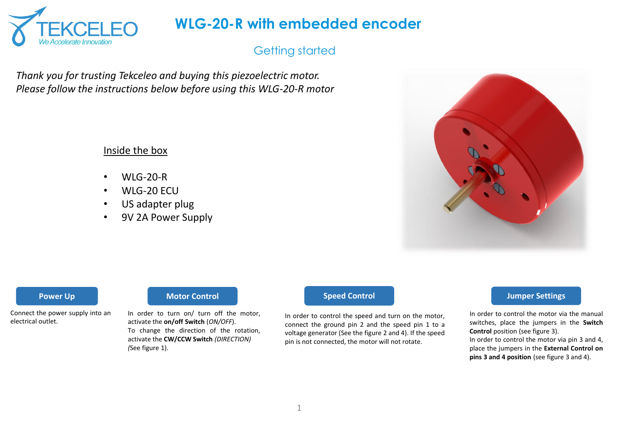

## Getting started

*Thank you for trusting Tekceleo and buying this piezoelectric motor. Please follow the instructions below before using this WLG-20-R motor*

### Inside the box

- $\bullet$  WIG-20-R
- WLG-20 ECU
- US adapter plug
- 9V 2A Power Supply



Connect the power supply into an electrical outlet.

### **Power Up Motor Control Motor Control Speed Control**

In order to turn on/ turn off the motor, activate the **on/off Switch** (*ON/OFF*). To change the direction of the rotation, activate the **CW/CCW Switch** *(DIRECTION) (*See figure 1).

In order to control the speed and turn on the motor, connect the ground pin 2 and the speed pin 1 to a voltage generator (See the figure 2 and 4). If the speed pin is not connected, the motor will not rotate.

#### **Jumper Settings**

In order to control the motor via the manual switches, place the jumpers in the **Switch Control** position (see figure 3). In order to control the motor via pin 3 and 4, place the jumpers in the **External Control on pins 3 and 4 position** (see figure 3 and 4).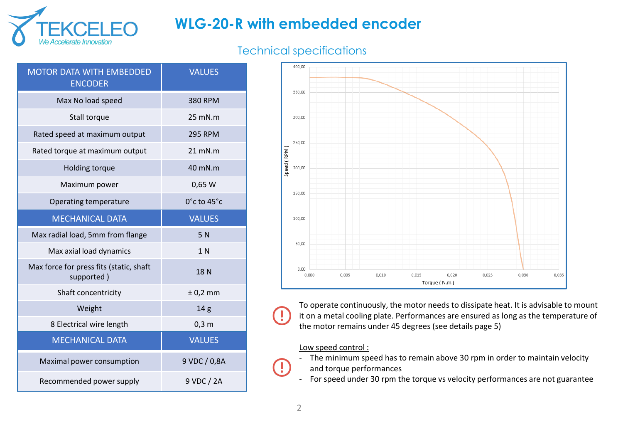

## Technical specifications

| <b>MOTOR DATA WITH EMBEDDED</b><br><b>ENCODER</b>     | <b>VALUES</b>   |  |
|-------------------------------------------------------|-----------------|--|
| Max No load speed                                     | <b>380 RPM</b>  |  |
| Stall torque                                          | $25$ mN.m       |  |
| Rated speed at maximum output                         | <b>295 RPM</b>  |  |
| Rated torque at maximum output                        | $21$ mN.m       |  |
| Holding torque                                        | 40 mN.m         |  |
| Maximum power                                         | 0,65 W          |  |
| Operating temperature                                 | 0°c to 45°c     |  |
| <b>MECHANICAL DATA</b>                                | <b>VALUES</b>   |  |
|                                                       |                 |  |
| Max radial load, 5mm from flange                      | 5N              |  |
| Max axial load dynamics                               | 1 <sub>N</sub>  |  |
| Max force for press fits (static, shaft<br>supported) | 18N             |  |
| Shaft concentricity                                   | $± 0,2$ mm      |  |
| Weight                                                | 14 <sub>g</sub> |  |
| 8 Electrical wire length                              | $0,3$ m         |  |
| <b>MECHANICAL DATA</b>                                | <b>VALUES</b>   |  |
| Maximal power consumption                             | 9 VDC / 0,8A    |  |



To operate continuously, the motor needs to dissipate heat. It is advisable to mount it on a metal cooling plate. Performances are ensured as long as the temperature of the motor remains under 45 degrees (see details page 5)

#### Low speed control :

- The minimum speed has to remain above 30 rpm in order to maintain velocity and torque performances
- For speed under 30 rpm the torque vs velocity performances are not guarantee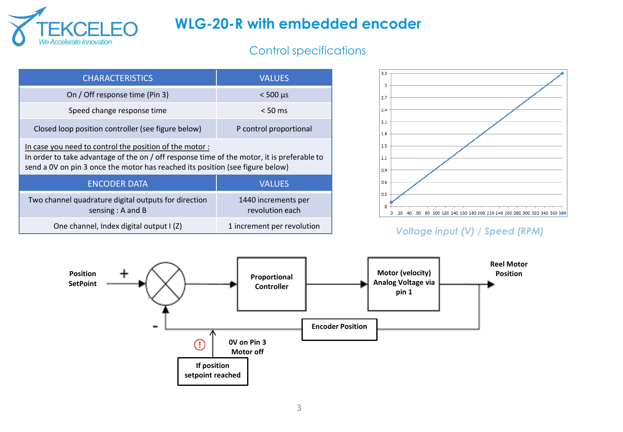

## Control specifications

| <b>CHARACTERISTICS</b>                                                                                                                                                                                                                | <b>VALUES</b>                          |  |
|---------------------------------------------------------------------------------------------------------------------------------------------------------------------------------------------------------------------------------------|----------------------------------------|--|
| On / Off response time (Pin 3)                                                                                                                                                                                                        | $<$ 500 $\mu$ s                        |  |
| Speed change response time                                                                                                                                                                                                            | $< 50 \text{ ms}$                      |  |
| Closed loop position controller (see figure below)                                                                                                                                                                                    | P control proportional                 |  |
| In case you need to control the position of the motor:<br>In order to take advantage of the on / off response time of the motor, it is preferable to<br>send a 0V on pin 3 once the motor has reached its position (see figure below) |                                        |  |
| <b>ENCODER DATA</b>                                                                                                                                                                                                                   | <b>VALUES</b>                          |  |
| Two channel quadrature digital outputs for direction<br>sensing : $A$ and $B$                                                                                                                                                         | 1440 increments per<br>revolution each |  |
| One channel, Index digital output I (Z)                                                                                                                                                                                               | 1 increment per revolution             |  |



### *Voltage input (V) / Speed (RPM)*

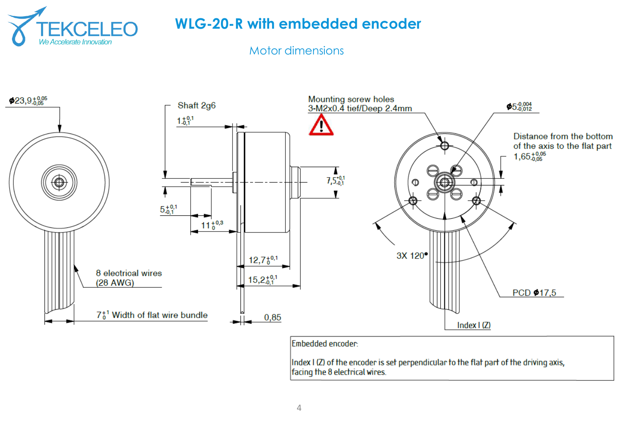

Motor dimensions

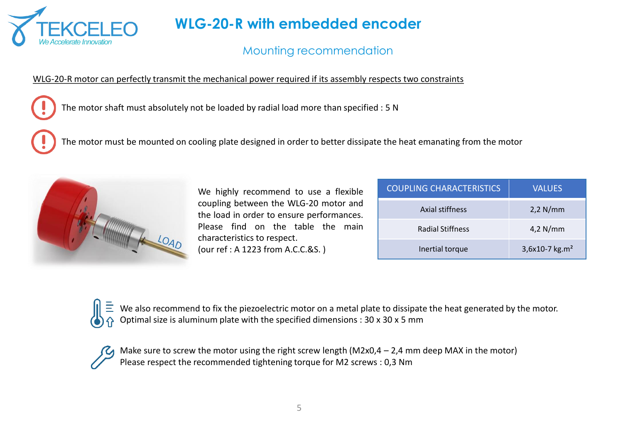

## Mounting recommendation

#### WLG-20-R motor can perfectly transmit the mechanical power required if its assembly respects two constraints

The motor shaft must absolutely not be loaded by radial load more than specified : 5 N

The motor must be mounted on cooling plate designed in order to better dissipate the heat emanating from the motor



We highly recommend to use a flexible coupling between the WLG-20 motor and the load in order to ensure performances. Please find on the table the main characteristics to respect.

(our ref : A 1223 from A.C.C.&S. )

| <b>COUPLING CHARACTERISTICS</b> | <b>VALUES</b>              |
|---------------------------------|----------------------------|
| Axial stiffness                 | $2,2$ N/mm                 |
| <b>Radial Stiffness</b>         | $4,2$ N/mm                 |
| Inertial torque                 | 3,6x10-7 kg.m <sup>2</sup> |

We also recommend to fix the piezoelectric motor on a metal plate to dissipate the heat generated by the motor. Optimal size is aluminum plate with the specified dimensions : 30 x 30 x 5 mm

Make sure to screw the motor using the right screw length (M2x0,4 – 2,4 mm deep MAX in the motor) Please respect the recommended tightening torque for M2 screws : 0,3 Nm